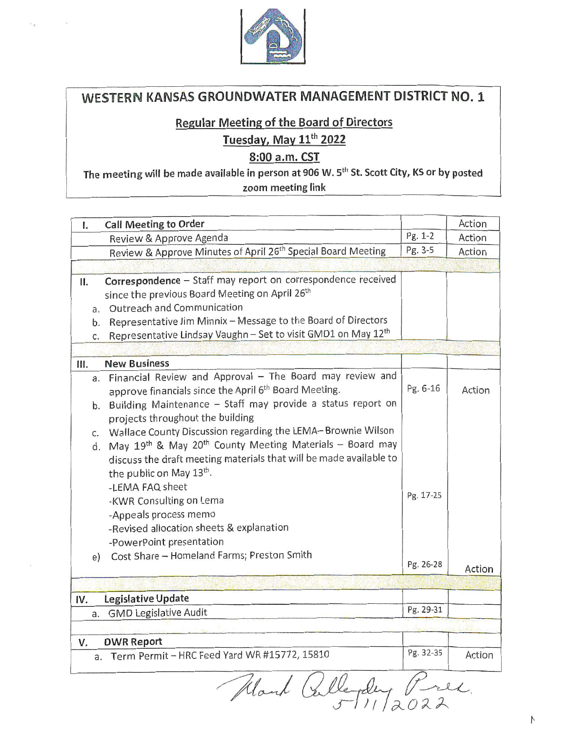

# WESTERN KANSAS GROUNDWATER MANAGEMENT DISTRICT NO. 1

## **Regular Meeting of the Board of Directors**

# Tuesday, May 11<sup>th</sup> 2022

## 8:00 a.m. CST

The meeting will be made available in person at 906 W. 5<sup>th</sup> St. Scott City, KS or by posted zoom meeting link

| Ι.                   | <b>Call Meeting to Order</b>                                                                                                                                                                                                                                                                                                                                                                                                                                                                                                                                                                                                                              |                       | Action |
|----------------------|-----------------------------------------------------------------------------------------------------------------------------------------------------------------------------------------------------------------------------------------------------------------------------------------------------------------------------------------------------------------------------------------------------------------------------------------------------------------------------------------------------------------------------------------------------------------------------------------------------------------------------------------------------------|-----------------------|--------|
|                      | Review & Approve Agenda                                                                                                                                                                                                                                                                                                                                                                                                                                                                                                                                                                                                                                   | Pg. 1-2               | Action |
|                      | Review & Approve Minutes of April 26 <sup>th</sup> Special Board Meeting                                                                                                                                                                                                                                                                                                                                                                                                                                                                                                                                                                                  | Pg. 3-5               | Action |
|                      |                                                                                                                                                                                                                                                                                                                                                                                                                                                                                                                                                                                                                                                           |                       |        |
| П.<br>a.<br>b.<br>C. | Correspondence - Staff may report on correspondence received<br>since the previous Board Meeting on April 26th<br><b>Outreach and Communication</b><br>Representative Jim Minnix - Message to the Board of Directors<br>Representative Lindsay Vaughn - Set to visit GMD1 on May 12th                                                                                                                                                                                                                                                                                                                                                                     |                       |        |
|                      |                                                                                                                                                                                                                                                                                                                                                                                                                                                                                                                                                                                                                                                           |                       |        |
| Ш.                   | <b>New Business</b>                                                                                                                                                                                                                                                                                                                                                                                                                                                                                                                                                                                                                                       |                       |        |
|                      | a. Financial Review and Approval - The Board may review and<br>approve financials since the April 6th Board Meeting.<br>b. Building Maintenance - Staff may provide a status report on<br>projects throughout the building<br>c. Wallace County Discussion regarding the LEMA-Brownie Wilson<br>d. May 19th & May 20th County Meeting Materials - Board may<br>discuss the draft meeting materials that will be made available to<br>the public on May 13th.<br>-LEMA FAQ sheet<br>-KWR Consulting on Lema<br>-Appeals process memo<br>-Revised allocation sheets & explanation<br>-PowerPoint presentation<br>Cost Share - Homeland Farms; Preston Smith | Pg. 6-16<br>Pg. 17-25 | Action |
| e)                   |                                                                                                                                                                                                                                                                                                                                                                                                                                                                                                                                                                                                                                                           | Pg. 26-28             | Action |
|                      |                                                                                                                                                                                                                                                                                                                                                                                                                                                                                                                                                                                                                                                           |                       |        |
| IV.                  | Legislative Update                                                                                                                                                                                                                                                                                                                                                                                                                                                                                                                                                                                                                                        |                       |        |
| a.                   | <b>GMD Legislative Audit</b>                                                                                                                                                                                                                                                                                                                                                                                                                                                                                                                                                                                                                              | Pg. 29-31             |        |
|                      |                                                                                                                                                                                                                                                                                                                                                                                                                                                                                                                                                                                                                                                           |                       |        |
| v.                   | <b>DWR Report</b>                                                                                                                                                                                                                                                                                                                                                                                                                                                                                                                                                                                                                                         |                       |        |
|                      | a. Term Permit - HRC Feed Yard WR #15772, 15810                                                                                                                                                                                                                                                                                                                                                                                                                                                                                                                                                                                                           | Pg. 32-35             | Action |
|                      | ( fillerday<br>fland                                                                                                                                                                                                                                                                                                                                                                                                                                                                                                                                                                                                                                      |                       |        |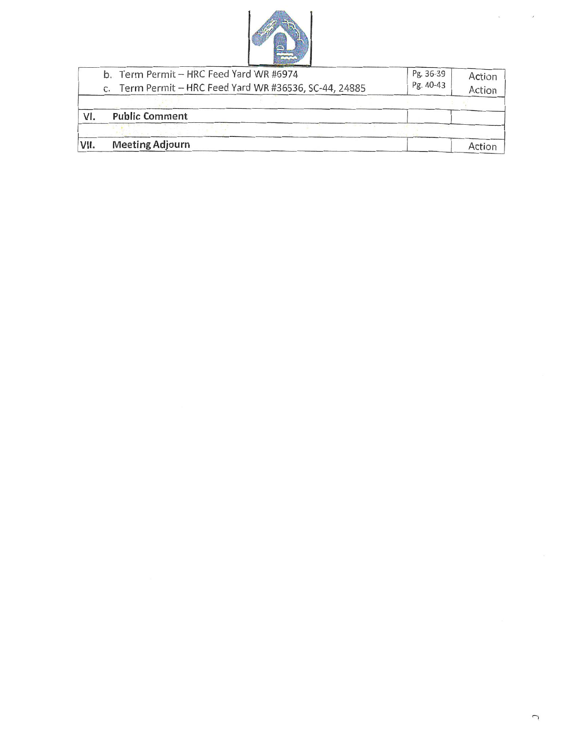

| VII. |  | <b>Meeting Adjourn</b>                                 |           | Action |
|------|--|--------------------------------------------------------|-----------|--------|
|      |  |                                                        |           |        |
| VI.  |  | <b>Public Comment</b>                                  |           |        |
|      |  |                                                        |           |        |
|      |  | c. Term Permit - HRC Feed Yard WR #36536, SC-44, 24885 | Pg. 40-43 | Action |
|      |  | b. Term Permit - HRC Feed Yard WR #6974                | Pg. 36-39 | Action |

 $\epsilon$ 

 $\chi^2$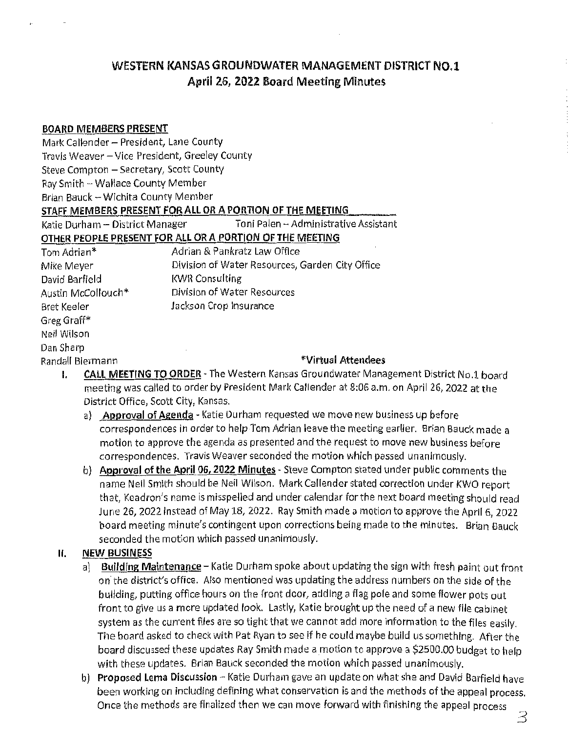# WESTERN KANSAS GROUNDWATER MANAGEMENT DISTRICT NO.1 April 26, 2022 Board Meeting Minutes

#### BOARD MEMBERS PRESENT

| Mark Callender - President, Lane County        |                                                           |
|------------------------------------------------|-----------------------------------------------------------|
| Travis Weaver - Vice President, Greeley County |                                                           |
| Steve Compton - Secretary, Scott County        |                                                           |
| Ray Smith - Wallace County Member              |                                                           |
| Brian Bauck -- Wichita County Member           |                                                           |
|                                                | STAFF MEMBERS PRESENT FOR ALL OR A PORTION OF THE MEETING |
| Katie Durham – District Manager                | Toni Palen -- Administrative Assistant                    |
|                                                | OTHER PEOPLE PRESENT FOR ALL OR A PORTION OF THE MEETING  |
| Tom Adrian*                                    | Adrian & Pankratz Law Office                              |
| Mike Meyer                                     | Division of Water Resources, Garden City Office           |
| David Barfield                                 | <b>KWR Consulting</b>                                     |
| Austin McCollouch*                             | Division of Water Resources                               |
| Bret Keeler                                    | Jackson Crop Insurance                                    |
| Greg Graff*                                    |                                                           |
| Neil Wilson                                    |                                                           |
| Dan Sharp                                      |                                                           |
| Randall Biermann                               | *Virtual Attendees                                        |
|                                                |                                                           |

- 1. CALL MEETING TO ORDER The Western Kansas Groundwater Management District No.1 board meeting was called to order by President Mark Callender at 8:06 a.m. on April 26, 2022 at the District Office, Scott City, Kansas.
	- a) Approval of Agenda Katie Durham requested we move new business up before correspondences in order to help Tom Adrian leave the meeting earlier. Brian Bauck made a motion to approve the agenda as presented and the request to move new business before correspondences. Travis Weaver seconded the motion which passed unanimously.
	- b) Approval of the April 06, 2022 Minutes Steve Compton stated under public comments the name Neil Smith should be Neil Wilson. Mark Callender stated correction under KWO report that, Keadron's name is misspelled and under calendar for the next board meeting should read June 26, 2022 instead of May 18, 2022. Ray Smith made a motion to approve the April 6, 2022 board meeting minute's contingent upon corrections being made to the minutes. Brian Bauck seconded the motion which passed unanimously.

## II. NEW BUSINESS

- a) Building Maintenance Katie Durham spoke about updating the sign with fresh paint out front on the district's office. Also mentioned was updating the address numbers on the side of the building, putting office hours on the front door, adding a flag pole and some flower pots out front to give us a more updated look. Lastly, Katie brought up the need of a new file cabinet system as the current files are so tight that we cannot add more information to the files easily. The board asked to check with Pat Ryan to see if he could maybe build us something. After the board discussed these updates Ray Smith made a motion to approve a \$2500.00 budget to help with these updates. Brian Bauck seconded the motion which passed unanimously.
- b) Proposed Lema Discussion Katie Durham gave an update on what she and David Barfield have been working on including defining what conservation is and the methods of the appeal process. Once the methods are finalized then we can move forward with finishing the appeal process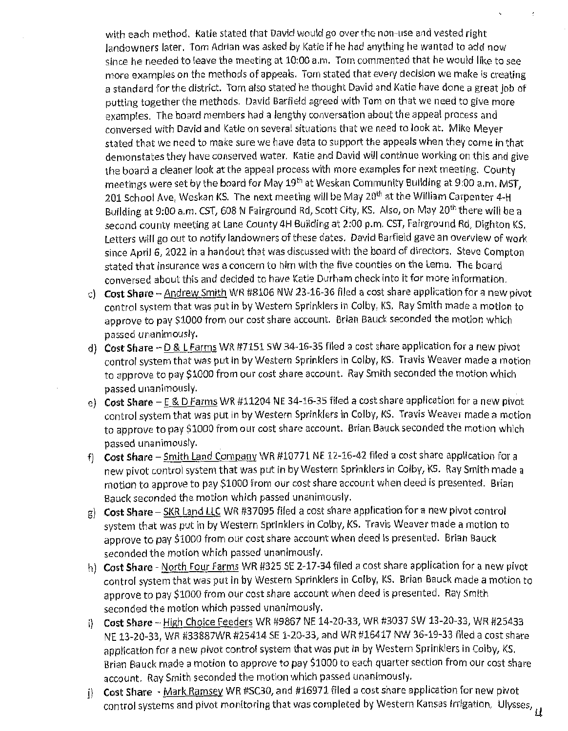with each method. Katie stated that David would go over the non-use and vested right landowners later. Tom Adrian was asked by Katie if he had anything he wanted to add now since he needed to leave the meeting at 10:00 a.m. Tom commented that he would like to see more examples on the methods of appeals. Tom stated that every decision we make is creating a standard for the district. Tom also stated he thought David and Katie have done a great job of putting together the methods. David Barfield agreed with Tom on that we need to give more examples. The board members had a lengthy conversation about the appeal process and conversed with David and Katie on several situations that we need to look at. Mike Meyer stated that we need to make sure we have data to support the appeals when they come in that demonstates they have conserved water. Katie and David will continue working on this and give the board a cleaner look at the appeal process with more examples for next meeting. County meetings were set by the board for May 19<sup>th</sup> at Weskan Community Building at 9:00 a.m. MST, 201 School Ave, Weskan KS. The next meeting will be May 20<sup>th</sup> at the William Carpenter 4-H Building at 9:00 a.m. CST, 608 N Fairground Rd, Scott City, KS. Also, on May 20<sup>th</sup> there will be a second county meeting at Lane County 4H Building at 2:00 p.m. CST, Fairground Rd, Dighton KS. Letters will go out to notify landowners of these dates. David Barfield gave an overview of work since April 6, 2022 in a handout that was discussed with the board of directors. Steve Compton stated that insurance was a concern to him with the five counties on the Lema. The board conversed about this and decided to have Katie Durham check into it for more information.

- c) Cost Share Andrew Smith WR #8106 NW 23-16-36 filed a cost share application for a new pivot control system that was put in by Western Sprinklers in Colby, KS. Ray Smith made a motion to approve to pay \$1000 from our cost share account. Brian Bauck seconded the motion which passed unanimously.
- d) Cost Share D & L Farms WR #7151 SW 34-16-35 filed a cost share application for a new pivot control system that was put in by Western Sprinklers in Colby, KS. Travis Weaver made a motion to approve to pay \$1000 from our cost share account. Ray Smith seconded the motion which passed unanimously.
- e) Cost Share E & D Farms WR #11204 NE 34-16-35 filed a cost share application for a new pivot control system that was put in by Western Sprinklers in Colby, KS. Travis Weaver made a motion to approve to pay \$1000 from our cost share account. Brian Bauck seconded the motion which passed unanimously.
- f) Cost Share Smith Land Company WR #10771 NE 12-16-42 filed a cost share application for a new pivot control system that was put in by Western Sprinklers in Colby, KS. Ray Smith made a motion to approve to pay \$1000 from our cost share account when deed is presented. Brian Bauck seconded the motion which passed unanimously.
- g) Cost Share SKR Land LLC WR #37095 filed a cost share application for a new pivot control system that was put in by Western Sprinklers in Colby, KS. Travis Weaver made a motion to approve to pay \$1000 from our cost share account when deed is presented. Brian Bauck seconded the motion which passed unanimously.
- h) Cost Share North Four Farms WR #325 SE 2-17-34 filed a cost share application for a new pivot control system that was put in by Western Sprinklers in Colby, KS. Brian Bauck made a motion to approve to pay \$1000 from our cost share account when deed is presented. Ray Smith seconded the motion which passed unanimously.
- i) Cost Share High Choice Feeders WR #9867 NE 14-20-33, WR #3037 SW 13-20-33, WR #25433 NE13-20-33,WR#33887WR#25414SE1-20-33,andWR#16417NW 36-19-33 filed <sup>a</sup> cost share application for a new pivot control system that was put in by Western Sprinklers in Colby, KS. Brian Bauck made a motion to approve to pay \$1000 to each quarter section from our cost share account. Ray Smith seconded the motion which passed unanimously.<br>Cost Share - Mark Ramsey WR #SC30, and #16971 filed a cost share application for new pivot
- j) Cost Share <u>Mark Ramsey</u> WR #SC30, and #16971 filed a cost share application for new pivot is a state of the cost of the cost of the cost of the cost of the cost of the cost of the cost of the cost of the cost of the control systems and pivot monitoring that was completed by Western Kansas Irrigation, Ulysses,<br>,